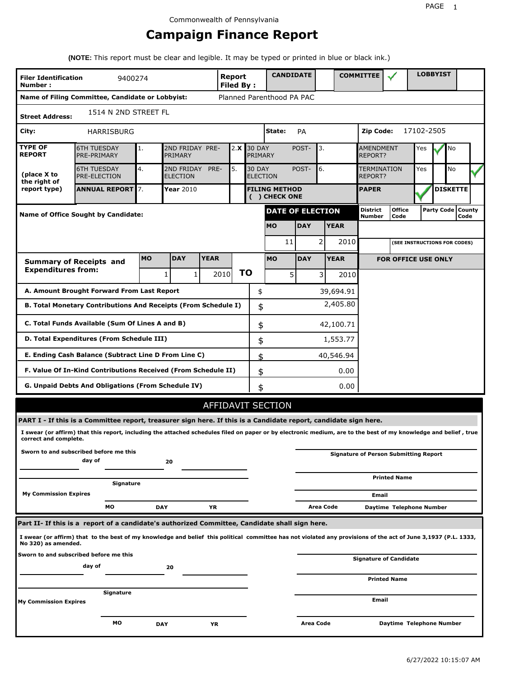# **Campaign Finance Report**

**(NOTE:** This report must be clear and legible. It may be typed or printed in blue or black ink.)

| <b>Filer Identification</b><br>Number:                                                                             | 9400274                                                                                                                                                         |    |                               |      | <b>Report</b><br><b>Filed By:</b> |    |                                  | <b>CANDIDATE</b>                      |                            |                  |             | <b>COMMITTEE</b>                   |                                              |            | <b>LOBBYIST</b>     |           |  |
|--------------------------------------------------------------------------------------------------------------------|-----------------------------------------------------------------------------------------------------------------------------------------------------------------|----|-------------------------------|------|-----------------------------------|----|----------------------------------|---------------------------------------|----------------------------|------------------|-------------|------------------------------------|----------------------------------------------|------------|---------------------|-----------|--|
|                                                                                                                    | Name of Filing Committee, Candidate or Lobbyist:                                                                                                                |    |                               |      |                                   |    |                                  | Planned Parenthood PA PAC             |                            |                  |             |                                    |                                              |            |                     |           |  |
| <b>Street Address:</b>                                                                                             | 1514 N 2ND STREET FL                                                                                                                                            |    |                               |      |                                   |    |                                  |                                       |                            |                  |             |                                    |                                              |            |                     |           |  |
| City:                                                                                                              | <b>HARRISBURG</b>                                                                                                                                               |    |                               |      |                                   |    |                                  | State:                                | PA                         |                  |             | Zip Code:                          |                                              | 17102-2505 |                     |           |  |
| <b>TYPE OF</b><br><b>REPORT</b>                                                                                    | <b>6TH TUESDAY</b><br>PRE-PRIMARY                                                                                                                               | 1. | 2ND FRIDAY PRE-<br>PRIMARY    |      | 2.X                               |    | <b>30 DAY</b><br>PRIMARY         |                                       | POST-                      | 3.               |             | <b>AMENDMENT</b><br><b>REPORT?</b> |                                              | Yes        |                     | No        |  |
| (place X to<br>the right of                                                                                        | <b>6TH TUESDAY</b><br><b>PRE-ELECTION</b>                                                                                                                       | 4. | 2ND FRIDAY<br><b>ELECTION</b> | PRE- | 5.                                |    | <b>30 DAY</b><br><b>ELECTION</b> |                                       | POST-                      | 6.               |             | <b>TERMINATION</b><br>REPORT?      |                                              | Yes        |                     | <b>No</b> |  |
| report type)                                                                                                       | <b>ANNUAL REPORT 7.</b>                                                                                                                                         |    | <b>Year 2010</b>              |      |                                   |    |                                  | <b>FILING METHOD</b><br>( ) CHECK ONE |                            |                  |             | <b>PAPER</b>                       |                                              |            | <b>DISKETTE</b>     |           |  |
|                                                                                                                    | <b>Name of Office Sought by Candidate:</b>                                                                                                                      |    |                               |      |                                   |    |                                  | <b>DATE OF ELECTION</b>               |                            |                  |             | District<br>Number                 | <b>Office</b><br>Code                        |            | Party Code   County | Code      |  |
|                                                                                                                    |                                                                                                                                                                 |    |                               |      |                                   |    |                                  | <b>MO</b>                             | <b>DAY</b>                 |                  | <b>YEAR</b> |                                    |                                              |            |                     |           |  |
|                                                                                                                    |                                                                                                                                                                 |    |                               |      |                                   |    |                                  | 11                                    |                            | 2                | 2010        |                                    | (SEE INSTRUCTIONS FOR CODES)                 |            |                     |           |  |
| <b>MO</b><br><b>DAY</b><br><b>YEAR</b><br><b>MO</b><br><b>YEAR</b><br><b>DAY</b><br><b>Summary of Receipts and</b> |                                                                                                                                                                 |    |                               |      |                                   |    |                                  |                                       | <b>FOR OFFICE USE ONLY</b> |                  |             |                                    |                                              |            |                     |           |  |
| <b>Expenditures from:</b>                                                                                          |                                                                                                                                                                 |    | $\mathbf{1}$<br>$\mathbf{1}$  |      | 2010                              | ΤO |                                  | 5                                     |                            | $\overline{3}$   | 2010        |                                    |                                              |            |                     |           |  |
|                                                                                                                    | A. Amount Brought Forward From Last Report                                                                                                                      |    |                               |      |                                   |    | \$                               |                                       |                            |                  | 39,694.91   |                                    |                                              |            |                     |           |  |
| 2,405.80<br>B. Total Monetary Contributions And Receipts (From Schedule I)<br>\$                                   |                                                                                                                                                                 |    |                               |      |                                   |    |                                  |                                       |                            |                  |             |                                    |                                              |            |                     |           |  |
| C. Total Funds Available (Sum Of Lines A and B)<br>\$<br>42,100.71                                                 |                                                                                                                                                                 |    |                               |      |                                   |    |                                  |                                       |                            |                  |             |                                    |                                              |            |                     |           |  |
| D. Total Expenditures (From Schedule III)<br>\$<br>1,553.77                                                        |                                                                                                                                                                 |    |                               |      |                                   |    |                                  |                                       |                            |                  |             |                                    |                                              |            |                     |           |  |
| E. Ending Cash Balance (Subtract Line D From Line C)                                                               |                                                                                                                                                                 |    |                               |      |                                   |    | \$                               |                                       |                            |                  | 40,546.94   |                                    |                                              |            |                     |           |  |
|                                                                                                                    | F. Value Of In-Kind Contributions Received (From Schedule II)                                                                                                   |    |                               |      |                                   |    | \$                               |                                       |                            |                  | 0.00        |                                    |                                              |            |                     |           |  |
|                                                                                                                    | G. Unpaid Debts And Obligations (From Schedule IV)                                                                                                              |    |                               |      |                                   |    | \$                               |                                       |                            |                  | 0.00        |                                    |                                              |            |                     |           |  |
|                                                                                                                    |                                                                                                                                                                 |    |                               |      |                                   |    |                                  | AFFIDAVIT SECTION                     |                            |                  |             |                                    |                                              |            |                     |           |  |
|                                                                                                                    | PART I - If this is a Committee report, treasurer sign here. If this is a Candidate report, candidate sign here.                                                |    |                               |      |                                   |    |                                  |                                       |                            |                  |             |                                    |                                              |            |                     |           |  |
| correct and complete.                                                                                              | I swear (or affirm) that this report, including the attached schedules filed on paper or by electronic medium, are to the best of my knowledge and belief, true |    |                               |      |                                   |    |                                  |                                       |                            |                  |             |                                    |                                              |            |                     |           |  |
|                                                                                                                    | Sworn to and subscribed before me this<br>day of                                                                                                                |    | 20                            |      |                                   |    |                                  |                                       |                            |                  |             |                                    | <b>Signature of Person Submitting Report</b> |            |                     |           |  |
|                                                                                                                    | Signature                                                                                                                                                       |    |                               |      |                                   |    |                                  |                                       |                            |                  |             |                                    | <b>Printed Name</b>                          |            |                     |           |  |
| <b>My Commission Expires</b>                                                                                       |                                                                                                                                                                 |    |                               |      |                                   |    |                                  |                                       |                            |                  |             | Email                              |                                              |            |                     |           |  |
|                                                                                                                    | МO                                                                                                                                                              |    | DAY                           | YR   |                                   |    |                                  |                                       |                            | Area Code        |             |                                    | Daytime Telephone Number                     |            |                     |           |  |
|                                                                                                                    | Part II- If this is a report of a candidate's authorized Committee, Candidate shall sign here.                                                                  |    |                               |      |                                   |    |                                  |                                       |                            |                  |             |                                    |                                              |            |                     |           |  |
| No 320) as amended.                                                                                                | I swear (or affirm) that to the best of my knowledge and belief this political committee has not violated any provisions of the act of June 3,1937 (P.L. 1333,  |    |                               |      |                                   |    |                                  |                                       |                            |                  |             |                                    |                                              |            |                     |           |  |
|                                                                                                                    | Sworn to and subscribed before me this<br>day of                                                                                                                |    | 20                            |      |                                   |    |                                  |                                       |                            |                  |             |                                    | <b>Signature of Candidate</b>                |            |                     |           |  |
|                                                                                                                    |                                                                                                                                                                 |    |                               |      |                                   |    |                                  |                                       |                            |                  |             |                                    | <b>Printed Name</b>                          |            |                     |           |  |
| <b>My Commission Expires</b>                                                                                       | Signature                                                                                                                                                       |    |                               |      |                                   |    |                                  |                                       |                            |                  |             | Email                              |                                              |            |                     |           |  |
|                                                                                                                    | мo                                                                                                                                                              |    | <b>DAY</b>                    | ΥR   |                                   |    |                                  |                                       |                            | <b>Area Code</b> |             |                                    | Daytime Telephone Number                     |            |                     |           |  |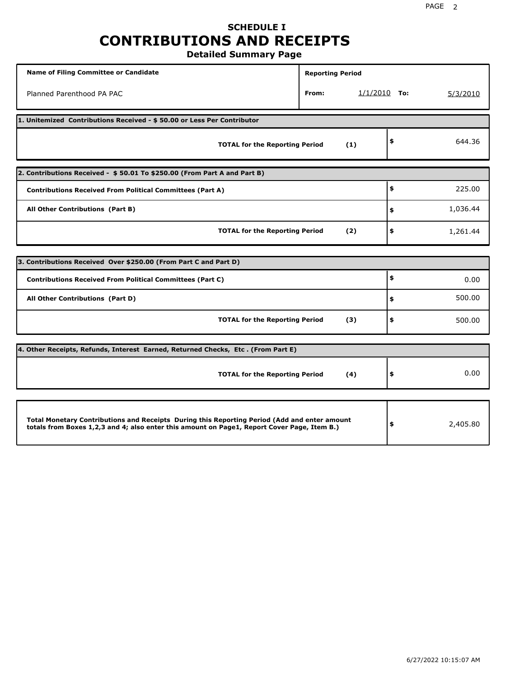# **SCHEDULE I CONTRIBUTIONS AND RECEIPTS**

**Detailed Summary Page**

| <b>Name of Filing Committee or Candidate</b>                                                                                                                                                | <b>Reporting Period</b> |                |          |          |  |  |  |  |
|---------------------------------------------------------------------------------------------------------------------------------------------------------------------------------------------|-------------------------|----------------|----------|----------|--|--|--|--|
| Planned Parenthood PA PAC                                                                                                                                                                   | From:                   | $1/1/2010$ To: |          | 5/3/2010 |  |  |  |  |
| 1. Unitemized Contributions Received - \$50.00 or Less Per Contributor                                                                                                                      |                         |                |          |          |  |  |  |  |
| <b>TOTAL for the Reporting Period</b>                                                                                                                                                       |                         | (1)            | \$       | 644.36   |  |  |  |  |
| 2. Contributions Received - \$50.01 To \$250.00 (From Part A and Part B)                                                                                                                    |                         |                |          |          |  |  |  |  |
| <b>Contributions Received From Political Committees (Part A)</b>                                                                                                                            |                         |                | \$       | 225.00   |  |  |  |  |
| All Other Contributions (Part B)                                                                                                                                                            | \$                      | 1,036.44       |          |          |  |  |  |  |
| <b>TOTAL for the Reporting Period</b>                                                                                                                                                       | (2)                     | \$             | 1,261.44 |          |  |  |  |  |
|                                                                                                                                                                                             |                         |                |          |          |  |  |  |  |
| 3. Contributions Received Over \$250.00 (From Part C and Part D)                                                                                                                            |                         |                |          |          |  |  |  |  |
| <b>Contributions Received From Political Committees (Part C)</b>                                                                                                                            |                         |                | \$       | 0.00     |  |  |  |  |
| All Other Contributions (Part D)                                                                                                                                                            |                         |                | \$       | 500.00   |  |  |  |  |
| <b>TOTAL for the Reporting Period</b>                                                                                                                                                       |                         | (3)            | \$       | 500.00   |  |  |  |  |
| 4. Other Receipts, Refunds, Interest Earned, Returned Checks, Etc. (From Part E)                                                                                                            |                         |                |          |          |  |  |  |  |
| <b>TOTAL for the Reporting Period</b>                                                                                                                                                       |                         | (4)            | \$       | 0.00     |  |  |  |  |
|                                                                                                                                                                                             |                         |                |          |          |  |  |  |  |
| Total Monetary Contributions and Receipts During this Reporting Period (Add and enter amount<br>totals from Boxes 1,2,3 and 4; also enter this amount on Page1, Report Cover Page, Item B.) | \$                      | 2,405.80       |          |          |  |  |  |  |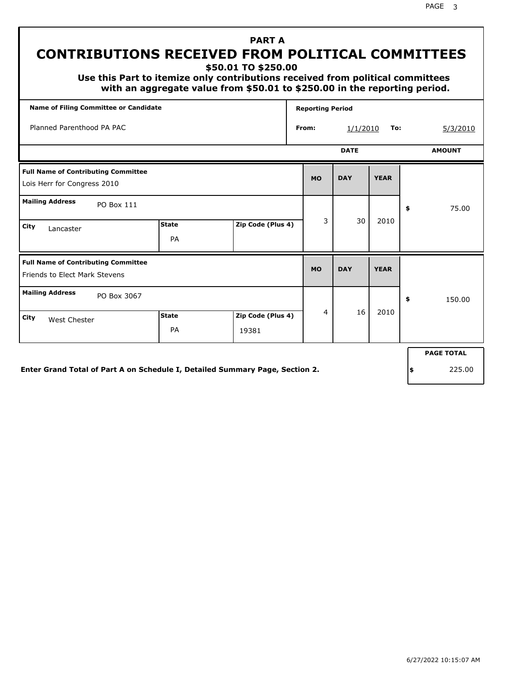**\$50.01 TO \$250.00**

 **Use this Part to itemize only contributions received from political committees with an aggregate value from \$50.01 to \$250.00 in the reporting period.**

| <b>Name of Filing Committee or Candidate</b>                                       |                    |                            |  | <b>Reporting Period</b>      |            |             |    |                   |  |
|------------------------------------------------------------------------------------|--------------------|----------------------------|--|------------------------------|------------|-------------|----|-------------------|--|
| Planned Parenthood PA PAC                                                          |                    |                            |  | From:                        | 1/1/2010   | To:         |    | 5/3/2010          |  |
|                                                                                    |                    |                            |  | <b>DATE</b><br><b>AMOUNT</b> |            |             |    |                   |  |
| <b>Full Name of Contributing Committee</b><br>Lois Herr for Congress 2010          |                    |                            |  | <b>MO</b>                    | <b>DAY</b> | <b>YEAR</b> |    |                   |  |
| <b>Mailing Address</b><br>PO Box 111                                               |                    |                            |  |                              |            |             | \$ | 75.00             |  |
| City<br>Lancaster                                                                  | <b>State</b><br>PA | Zip Code (Plus 4)          |  | 3                            | 30         | 2010        |    |                   |  |
| <b>Full Name of Contributing Committee</b><br><b>Friends to Elect Mark Stevens</b> |                    |                            |  | <b>MO</b>                    | <b>DAY</b> | <b>YEAR</b> |    |                   |  |
| <b>Mailing Address</b><br>PO Box 3067                                              |                    |                            |  |                              |            |             | \$ | 150.00            |  |
| City<br><b>West Chester</b>                                                        | <b>State</b><br>PA | Zip Code (Plus 4)<br>19381 |  | 4                            | 16         | 2010        |    |                   |  |
|                                                                                    |                    |                            |  |                              |            |             |    | <b>PAGE TOTAL</b> |  |
| Enter Grand Total of Part A on Schedule I, Detailed Summary Page, Section 2.       |                    |                            |  |                              |            |             | \$ | 225.00            |  |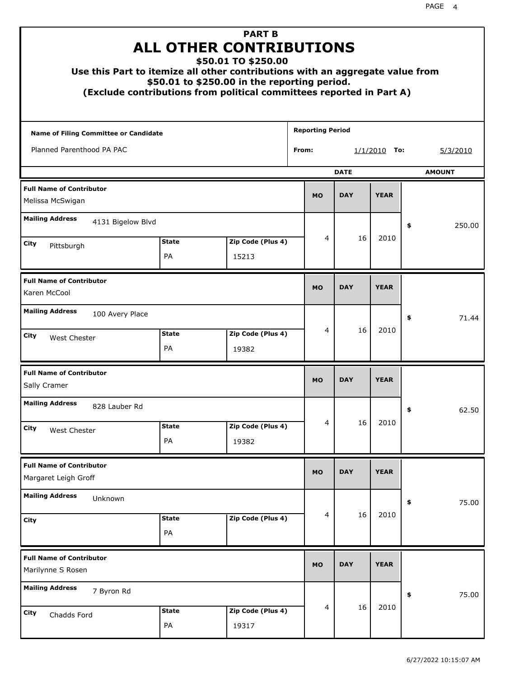| <b>PART B</b><br><b>ALL OTHER CONTRIBUTIONS</b><br>\$50.01 TO \$250.00<br>Use this Part to itemize all other contributions with an aggregate value from<br>\$50.01 to \$250.00 in the reporting period.<br>(Exclude contributions from political committees reported in Part A) |                    |                            |                         |                              |            |             |    |          |  |
|---------------------------------------------------------------------------------------------------------------------------------------------------------------------------------------------------------------------------------------------------------------------------------|--------------------|----------------------------|-------------------------|------------------------------|------------|-------------|----|----------|--|
| <b>Name of Filing Committee or Candidate</b>                                                                                                                                                                                                                                    |                    |                            | <b>Reporting Period</b> |                              |            |             |    |          |  |
| Planned Parenthood PA PAC                                                                                                                                                                                                                                                       |                    |                            | From:                   | $1/1/2010$ To:               |            |             |    | 5/3/2010 |  |
|                                                                                                                                                                                                                                                                                 |                    |                            |                         | <b>DATE</b><br><b>AMOUNT</b> |            |             |    |          |  |
| <b>Full Name of Contributor</b><br>Melissa McSwigan                                                                                                                                                                                                                             |                    |                            |                         | <b>MO</b>                    | <b>DAY</b> | <b>YEAR</b> |    |          |  |
| <b>Mailing Address</b><br>4131 Bigelow Blvd                                                                                                                                                                                                                                     |                    |                            |                         |                              |            |             | \$ | 250.00   |  |
| City<br>Pittsburgh                                                                                                                                                                                                                                                              | <b>State</b>       | Zip Code (Plus 4)          |                         | 4                            | 16         | 2010        |    |          |  |
|                                                                                                                                                                                                                                                                                 | PA                 | 15213                      |                         |                              |            |             |    |          |  |
| <b>Full Name of Contributor</b><br>Karen McCool                                                                                                                                                                                                                                 |                    |                            |                         |                              | <b>DAY</b> | <b>YEAR</b> |    |          |  |
| <b>Mailing Address</b><br>100 Avery Place                                                                                                                                                                                                                                       |                    |                            |                         |                              |            |             | \$ | 71.44    |  |
| City<br>West Chester                                                                                                                                                                                                                                                            | <b>State</b><br>PA | Zip Code (Plus 4)<br>19382 |                         | 4                            | 16         | 2010        |    |          |  |
| <b>Full Name of Contributor</b><br>Sally Cramer                                                                                                                                                                                                                                 |                    |                            |                         | <b>MO</b>                    | <b>DAY</b> | <b>YEAR</b> |    |          |  |
| <b>Mailing Address</b><br>828 Lauber Rd                                                                                                                                                                                                                                         |                    |                            |                         |                              |            |             | ÷, | 62.50    |  |
| <b>City</b><br>West Chester                                                                                                                                                                                                                                                     | <b>State</b><br>PA | Zip Code (Plus 4)<br>19382 |                         | 4                            | 16         | 2010        |    |          |  |
| <b>Full Name of Contributor</b><br>Margaret Leigh Groff                                                                                                                                                                                                                         |                    |                            |                         | <b>MO</b>                    | <b>DAY</b> | <b>YEAR</b> |    |          |  |
| <b>Mailing Address</b><br>Unknown                                                                                                                                                                                                                                               |                    |                            |                         |                              |            |             | \$ | 75.00    |  |
| <b>City</b>                                                                                                                                                                                                                                                                     | <b>State</b><br>PA | Zip Code (Plus 4)          |                         | 4                            | 16         | 2010        |    |          |  |
| <b>Full Name of Contributor</b><br>Marilynne S Rosen                                                                                                                                                                                                                            |                    |                            |                         | <b>MO</b>                    | <b>DAY</b> | <b>YEAR</b> |    |          |  |
| <b>Mailing Address</b><br>7 Byron Rd                                                                                                                                                                                                                                            |                    |                            |                         |                              |            |             | \$ | 75.00    |  |
| City<br>Chadds Ford                                                                                                                                                                                                                                                             | <b>State</b><br>PA | Zip Code (Plus 4)<br>19317 |                         | 4                            | 16         | 2010        |    |          |  |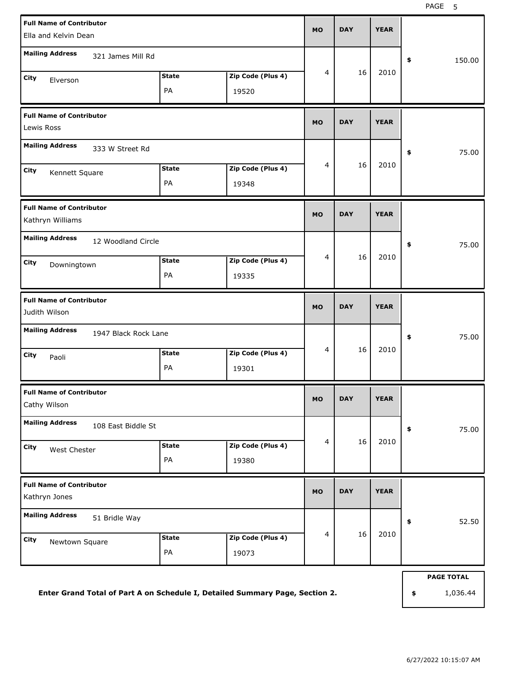| <b>Full Name of Contributor</b><br>Ella and Kelvin Dean             |                    |                            |             |            |             |                   |
|---------------------------------------------------------------------|--------------------|----------------------------|-------------|------------|-------------|-------------------|
| <b>Mailing Address</b><br>321 James Mill Rd                         |                    |                            |             |            |             | 150.00<br>\$      |
| City<br>Elverson                                                    | <b>State</b><br>PA | Zip Code (Plus 4)<br>19520 | 4           | 16         | 2010        |                   |
| <b>Full Name of Contributor</b><br>Lewis Ross                       |                    |                            | <b>MO</b>   | <b>DAY</b> | <b>YEAR</b> |                   |
| <b>Mailing Address</b><br>333 W Street Rd                           |                    |                            |             |            |             | 75.00<br>\$       |
| City<br>Kennett Square                                              | <b>State</b><br>PA | Zip Code (Plus 4)<br>19348 | 4           | 16         | 2010        |                   |
| <b>Full Name of Contributor</b><br>Kathryn Williams                 | <b>MO</b>          | <b>DAY</b>                 | <b>YEAR</b> |            |             |                   |
| <b>Mailing Address</b><br>12 Woodland Circle<br>City<br>Downingtown | <b>State</b><br>PA | Zip Code (Plus 4)<br>19335 | 16<br>4     |            | 2010        | 75.00<br>\$       |
| <b>Full Name of Contributor</b><br>Judith Wilson                    |                    |                            | <b>MO</b>   | <b>DAY</b> | <b>YEAR</b> |                   |
| <b>Mailing Address</b><br>1947 Black Rock Lane                      |                    |                            |             |            |             | \$<br>75.00       |
| City<br>Paoli                                                       | <b>State</b><br>PA | Zip Code (Plus 4)<br>19301 | 4           | 16         | 2010        |                   |
| <b>Full Name of Contributor</b><br>Cathy Wilson                     |                    |                            | MU          | <b>DAY</b> | <b>YEAR</b> |                   |
| <b>Mailing Address</b><br>108 East Biddle St                        |                    |                            |             |            |             | 75.00<br>\$       |
| City<br>West Chester                                                | <b>State</b><br>PA | Zip Code (Plus 4)<br>19380 | 4           | 16         | 2010        |                   |
| <b>Full Name of Contributor</b><br>Kathryn Jones                    |                    |                            | <b>MO</b>   | <b>DAY</b> | <b>YEAR</b> |                   |
| <b>Mailing Address</b><br>51 Bridle Way                             |                    |                            |             |            | 52.50<br>\$ |                   |
| City<br>Newtown Square                                              | <b>State</b><br>PA | Zip Code (Plus 4)<br>19073 | 4           | 16         | 2010        |                   |
|                                                                     |                    |                            |             |            |             | <b>PAGE TOTAL</b> |

**Enter Grand Total of Part A on Schedule I, Detailed Summary Page, Section 2.**

**\$** 1,036.44

6/27/2022 10:15:07 AM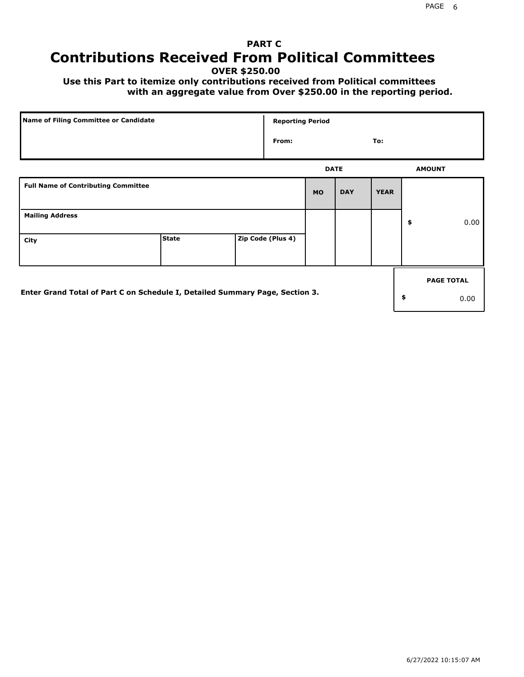# **PART C Contributions Received From Political Committees**

**OVER \$250.00**

 **Use this Part to itemize only contributions received from Political committees with an aggregate value from Over \$250.00 in the reporting period.**

| Name of Filing Committee or Candidate                                        |              | <b>Reporting Period</b> |             |            |             |    |                   |
|------------------------------------------------------------------------------|--------------|-------------------------|-------------|------------|-------------|----|-------------------|
|                                                                              |              | From:                   |             |            | To:         |    |                   |
|                                                                              |              |                         | <b>DATE</b> |            |             |    | <b>AMOUNT</b>     |
| <b>Full Name of Contributing Committee</b>                                   |              |                         | <b>MO</b>   | <b>DAY</b> | <b>YEAR</b> |    |                   |
| <b>Mailing Address</b>                                                       |              |                         |             |            |             | \$ | 0.00              |
| City                                                                         | <b>State</b> | Zip Code (Plus 4)       |             |            |             |    |                   |
|                                                                              |              |                         |             |            |             |    | <b>PAGE TOTAL</b> |
| Enter Grand Total of Part C on Schedule I, Detailed Summary Page, Section 3. |              |                         |             |            |             | \$ | 0.00              |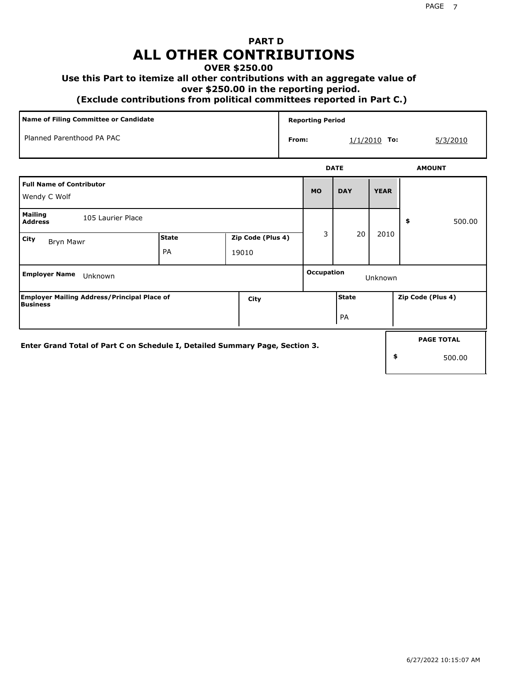## **PART D ALL OTHER CONTRIBUTIONS**

#### **OVER \$250.00**

#### **Use this Part to itemize all other contributions with an aggregate value of**

 **over \$250.00 in the reporting period.**

 **(Exclude contributions from political committees reported in Part C.)** 

| Name of Filing Committee or Candidate                                        |                    |                            |       |                              | <b>Reporting Period</b> |                |                   |  |
|------------------------------------------------------------------------------|--------------------|----------------------------|-------|------------------------------|-------------------------|----------------|-------------------|--|
| Planned Parenthood PA PAC                                                    |                    |                            | From: |                              |                         | $1/1/2010$ To: | 5/3/2010          |  |
|                                                                              |                    |                            |       |                              | <b>DATE</b>             |                | <b>AMOUNT</b>     |  |
| <b>Full Name of Contributor</b><br>Wendy C Wolf                              |                    |                            |       | <b>MO</b>                    | <b>DAY</b>              | <b>YEAR</b>    |                   |  |
| <b>Mailing</b><br>105 Laurier Place<br><b>Address</b>                        |                    |                            |       |                              |                         |                | 500.00<br>\$      |  |
| <b>City</b><br>Bryn Mawr                                                     | <b>State</b><br>PA | Zip Code (Plus 4)<br>19010 |       | 3                            | 20                      | 2010           |                   |  |
| <b>Employer Name</b><br>Unknown                                              |                    |                            |       | <b>Occupation</b><br>Unknown |                         |                |                   |  |
| <b>Employer Mailing Address/Principal Place of</b><br><b>Business</b>        |                    | City                       |       |                              | <b>State</b>            |                | Zip Code (Plus 4) |  |
|                                                                              |                    |                            |       |                              | PA                      |                |                   |  |
| Enter Grand Total of Part C on Schedule I, Detailed Summary Page, Section 3. |                    |                            |       |                              | <b>PAGE TOTAL</b>       |                |                   |  |
|                                                                              |                    |                            |       |                              |                         | \$             | 500.00            |  |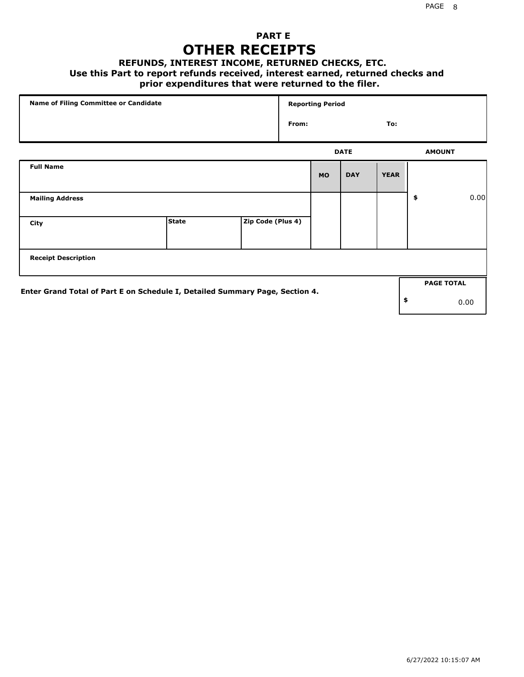### **PART E OTHER RECEIPTS**

#### **REFUNDS, INTEREST INCOME, RETURNED CHECKS, ETC.**

 **Use this Part to report refunds received, interest earned, returned checks and**

### **prior expenditures that were returned to the filer.**

| Name of Filing Committee or Candidate                                        |              |                   |              | <b>Reporting Period</b> |             |             |    |                   |      |  |
|------------------------------------------------------------------------------|--------------|-------------------|--------------|-------------------------|-------------|-------------|----|-------------------|------|--|
|                                                                              |              |                   | From:<br>To: |                         |             |             |    |                   |      |  |
|                                                                              |              |                   |              |                         | <b>DATE</b> |             |    | <b>AMOUNT</b>     |      |  |
| <b>Full Name</b>                                                             |              |                   |              | <b>MO</b>               | <b>DAY</b>  | <b>YEAR</b> |    |                   |      |  |
| <b>Mailing Address</b>                                                       |              |                   |              |                         |             |             | \$ |                   | 0.00 |  |
| City                                                                         | <b>State</b> | Zip Code (Plus 4) |              |                         |             |             |    |                   |      |  |
| <b>Receipt Description</b>                                                   |              |                   |              |                         |             |             |    |                   |      |  |
| Enter Grand Total of Part E on Schedule I, Detailed Summary Page, Section 4. |              |                   |              |                         |             |             |    | <b>PAGE TOTAL</b> |      |  |
|                                                                              |              |                   |              |                         |             |             | \$ |                   | 0.00 |  |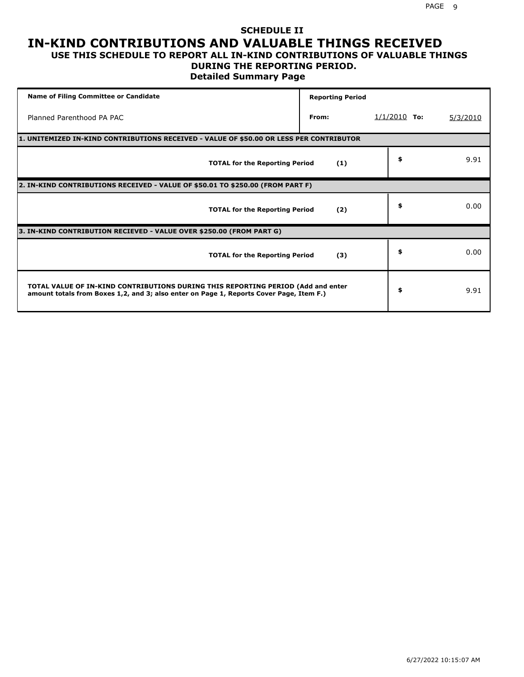# **SCHEDULE II IN-KIND CONTRIBUTIONS AND VALUABLE THINGS RECEIVED**

#### **USE THIS SCHEDULE TO REPORT ALL IN-KIND CONTRIBUTIONS OF VALUABLE THINGS DURING THE REPORTING PERIOD.**

**Detailed Summary Page**

| <b>Name of Filing Committee or Candidate</b>                                                                                                                                | <b>Reporting Period</b> |                |          |
|-----------------------------------------------------------------------------------------------------------------------------------------------------------------------------|-------------------------|----------------|----------|
| Planned Parenthood PA PAC                                                                                                                                                   | From:                   | $1/1/2010$ To: | 5/3/2010 |
| 1. UNITEMIZED IN-KIND CONTRIBUTIONS RECEIVED - VALUE OF \$50.00 OR LESS PER CONTRIBUTOR                                                                                     |                         |                |          |
| <b>TOTAL for the Reporting Period</b>                                                                                                                                       | (1)                     | \$             | 9.91     |
| 2. IN-KIND CONTRIBUTIONS RECEIVED - VALUE OF \$50.01 TO \$250.00 (FROM PART F)                                                                                              |                         |                |          |
| <b>TOTAL for the Reporting Period</b>                                                                                                                                       | (2)                     | \$             | 0.00     |
| 3. IN-KIND CONTRIBUTION RECIEVED - VALUE OVER \$250.00 (FROM PART G)                                                                                                        |                         |                |          |
| <b>TOTAL for the Reporting Period</b>                                                                                                                                       | (3)                     | \$             | 0.00     |
| TOTAL VALUE OF IN-KIND CONTRIBUTIONS DURING THIS REPORTING PERIOD (Add and enter<br>amount totals from Boxes 1,2, and 3; also enter on Page 1, Reports Cover Page, Item F.) |                         | \$             | 9.91     |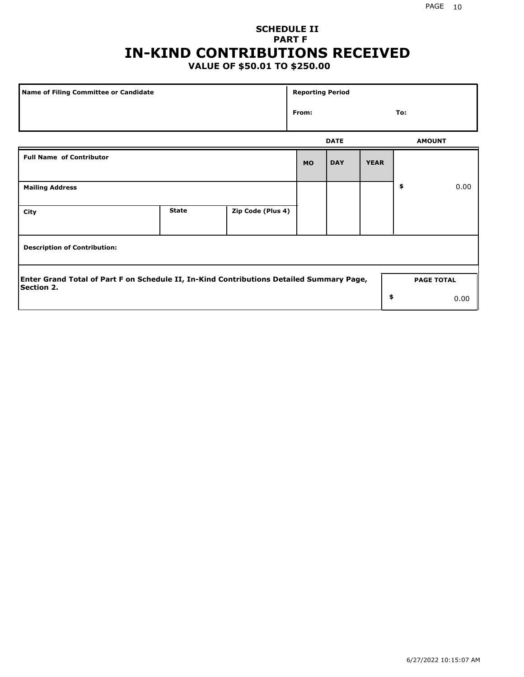## **SCHEDULE II PART F IN-KIND CONTRIBUTIONS RECEIVED**

### **VALUE OF \$50.01 TO \$250.00**

| <b>Name of Filing Committee or Candidate</b>                                                                  |              |                   | <b>Reporting Period</b> |                   |             |               |      |
|---------------------------------------------------------------------------------------------------------------|--------------|-------------------|-------------------------|-------------------|-------------|---------------|------|
|                                                                                                               |              |                   | From:                   |                   |             | To:           |      |
|                                                                                                               |              |                   |                         | <b>DATE</b>       |             | <b>AMOUNT</b> |      |
| <b>Full Name of Contributor</b>                                                                               |              |                   | <b>MO</b>               | <b>DAY</b>        | <b>YEAR</b> |               |      |
| <b>Mailing Address</b>                                                                                        |              |                   |                         |                   |             | \$            | 0.00 |
| City                                                                                                          | <b>State</b> | Zip Code (Plus 4) |                         |                   |             |               |      |
| <b>Description of Contribution:</b>                                                                           |              |                   |                         |                   |             |               |      |
| Enter Grand Total of Part F on Schedule II, In-Kind Contributions Detailed Summary Page,<br><b>Section 2.</b> |              |                   |                         | <b>PAGE TOTAL</b> |             |               |      |
|                                                                                                               |              |                   |                         |                   | \$          |               | 0.00 |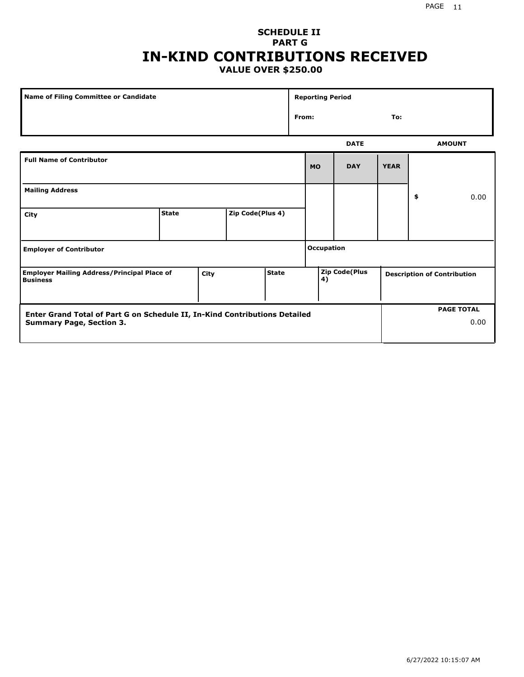#### PAGE 11

### **SCHEDULE II PART G IN-KIND CONTRIBUTIONS RECEIVED VALUE OVER \$250.00**

| <b>Name of Filing Committee or Candidate</b>                                                                                |              |  |                  |  | <b>Reporting Period</b> |                   |                                    |             |    |                   |      |
|-----------------------------------------------------------------------------------------------------------------------------|--------------|--|------------------|--|-------------------------|-------------------|------------------------------------|-------------|----|-------------------|------|
|                                                                                                                             |              |  |                  |  |                         | To:<br>From:      |                                    |             |    |                   |      |
|                                                                                                                             |              |  |                  |  |                         |                   | <b>DATE</b>                        |             |    | <b>AMOUNT</b>     |      |
| <b>Full Name of Contributor</b>                                                                                             |              |  |                  |  |                         | <b>MO</b>         | <b>DAY</b>                         | <b>YEAR</b> |    |                   |      |
| <b>Mailing Address</b>                                                                                                      |              |  |                  |  |                         |                   |                                    |             | \$ |                   | 0.00 |
| City                                                                                                                        | <b>State</b> |  | Zip Code(Plus 4) |  |                         |                   |                                    |             |    |                   |      |
| <b>Employer of Contributor</b>                                                                                              |              |  |                  |  |                         | <b>Occupation</b> |                                    |             |    |                   |      |
| <b>Zip Code(Plus</b><br><b>State</b><br><b>Employer Mailing Address/Principal Place of</b><br>City<br>4)<br><b>Business</b> |              |  |                  |  |                         |                   | <b>Description of Contribution</b> |             |    |                   |      |
| Enter Grand Total of Part G on Schedule II, In-Kind Contributions Detailed<br><b>Summary Page, Section 3.</b>               |              |  |                  |  |                         |                   |                                    |             |    | <b>PAGE TOTAL</b> | 0.00 |